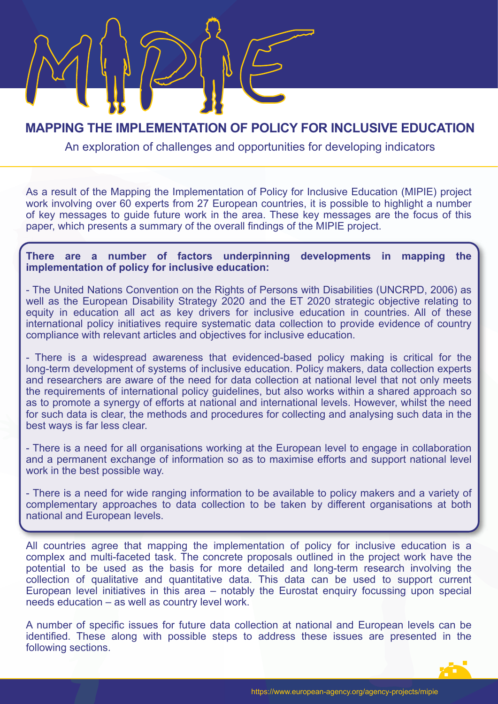# **MAPPING THE IMPLEMENTATION OF POLICY FOR INCLUSIVE EDUCATION**

Me our location of chollowers and one or writing for douclening indicators An exploration of challenges and opportunities for developing indicators

As a result of the Mapping the Implementation of Policy for Inclusive Education (MIPIE) project work involving over 60 experts from 27 European countries, it is possible to highlight a number of key messages to guide future work in the area. These key messages are the focus of this paper, which presents a summary of the overall findings of the MIPIE project.

#### **There are a number of factors underpinning developments in mapping the implementation of policy for inclusive education:**

- The United Nations Convention on the Rights of Persons with Disabilities (UNCRPD, 2006) as well as the European Disability Strategy 2020 and the ET 2020 strategic objective relating to equity in education all act as key drivers for inclusive education in countries. All of these international policy initiatives require systematic data collection to provide evidence of country compliance with relevant articles and objectives for inclusive education.

- There is a widespread awareness that evidenced-based policy making is critical for the long-term development of systems of inclusive education. Policy makers, data collection experts and researchers are aware of the need for data collection at national level that not only meets the requirements of international policy guidelines, but also works within a shared approach so as to promote a synergy of efforts at national and international levels. However, whilst the need for such data is clear, the methods and procedures for collecting and analysing such data in the best ways is far less clear.

- There is a need for all organisations working at the European level to engage in collaboration and a permanent exchange of information so as to maximise efforts and support national level work in the best possible way.

- There is a need for wide ranging information to be available to policy makers and a variety of complementary approaches to data collection to be taken by different organisations at both national and European levels.

All countries agree that mapping the implementation of policy for inclusive education is a complex and multi-faceted task. The concrete proposals outlined in the project work have the potential to be used as the basis for more detailed and long-term research involving the collection of qualitative and quantitative data. This data can be used to support current European level initiatives in this area – notably the Eurostat enquiry focussing upon special needs education – as well as country level work.

A number of specific issues for future data collection at national and European levels can be identified. These along with possible steps to address these issues are presented in the following sections.

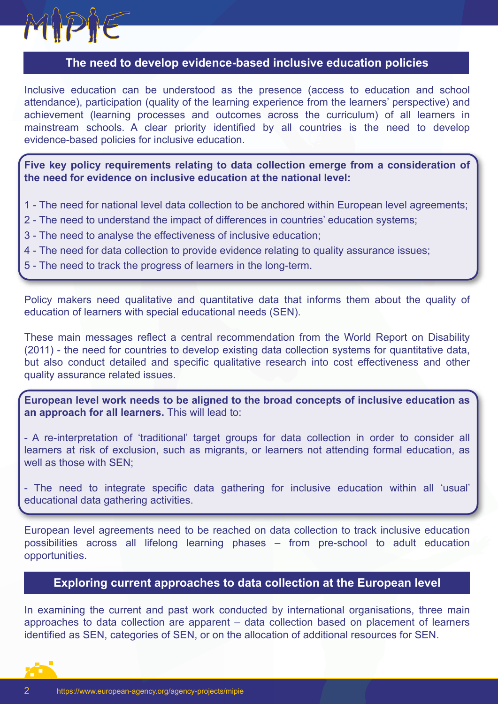

## **The need to develop evidence-based inclusive education policies**

Inclusive education can be understood as the presence (access to education and school attendance), participation (quality of the learning experience from the learners' perspective) and achievement (learning processes and outcomes across the curriculum) of all learners in mainstream schools. A clear priority identified by all countries is the need to develop evidence-based policies for inclusive education.

**Five key policy requirements relating to data collection emerge from a consideration of the need for evidence on inclusive education at the national level:**

- 1 The need for national level data collection to be anchored within European level agreements;
- 2 The need to understand the impact of differences in countries' education systems;
- 3 The need to analyse the effectiveness of inclusive education;
- 4 The need for data collection to provide evidence relating to quality assurance issues;
- 5 The need to track the progress of learners in the long-term.

Policy makers need qualitative and quantitative data that informs them about the quality of education of learners with special educational needs (SEN).

These main messages reflect a central recommendation from the World Report on Disability (2011) - the need for countries to develop existing data collection systems for quantitative data, but also conduct detailed and specific qualitative research into cost effectiveness and other quality assurance related issues.

**European level work needs to be aligned to the broad concepts of inclusive education as an approach for all learners.** This will lead to:

- A re-interpretation of 'traditional' target groups for data collection in order to consider all learners at risk of exclusion, such as migrants, or learners not attending formal education, as well as those with SEN;

- The need to integrate specific data gathering for inclusive education within all 'usual' educational data gathering activities.

European level agreements need to be reached on data collection to track inclusive education possibilities across all lifelong learning phases – from pre-school to adult education opportunities.

### **Exploring current approaches to data collection at the European level**

In examining the current and past work conducted by international organisations, three main approaches to data collection are apparent – data collection based on placement of learners identified as SEN, categories of SEN, or on the allocation of additional resources for SEN.

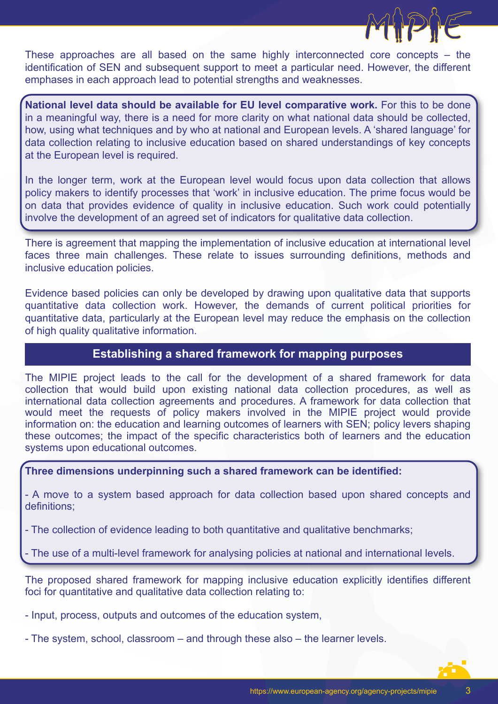

These approaches are all based on the same highly interconnected core concepts – the identification of SEN and subsequent support to meet a particular need. However, the different emphases in each approach lead to potential strengths and weaknesses.

**National level data should be available for EU level comparative work.** For this to be done in a meaningful way, there is a need for more clarity on what national data should be collected, how, using what techniques and by who at national and European levels. A 'shared language' for data collection relating to inclusive education based on shared understandings of key concepts at the European level is required.

In the longer term, work at the European level would focus upon data collection that allows policy makers to identify processes that 'work' in inclusive education. The prime focus would be on data that provides evidence of quality in inclusive education. Such work could potentially involve the development of an agreed set of indicators for qualitative data collection.

There is agreement that mapping the implementation of inclusive education at international level faces three main challenges. These relate to issues surrounding definitions, methods and inclusive education policies.

Evidence based policies can only be developed by drawing upon qualitative data that supports quantitative data collection work. However, the demands of current political priorities for quantitative data, particularly at the European level may reduce the emphasis on the collection of high quality qualitative information.

## **Establishing a shared framework for mapping purposes**

The MIPIE project leads to the call for the development of a shared framework for data collection that would build upon existing national data collection procedures, as well as international data collection agreements and procedures. A framework for data collection that would meet the requests of policy makers involved in the MIPIE project would provide information on: the education and learning outcomes of learners with SEN; policy levers shaping these outcomes; the impact of the specific characteristics both of learners and the education systems upon educational outcomes.

**Three dimensions underpinning such a shared framework can be identified:** 

- A move to a system based approach for data collection based upon shared concepts and definitions;

- The collection of evidence leading to both quantitative and qualitative benchmarks;

- The use of a multi-level framework for analysing policies at national and international levels.

The proposed shared framework for mapping inclusive education explicitly identifies different foci for quantitative and qualitative data collection relating to:

- Input, process, outputs and outcomes of the education system,

- The system, school, classroom – and through these also – the learner levels.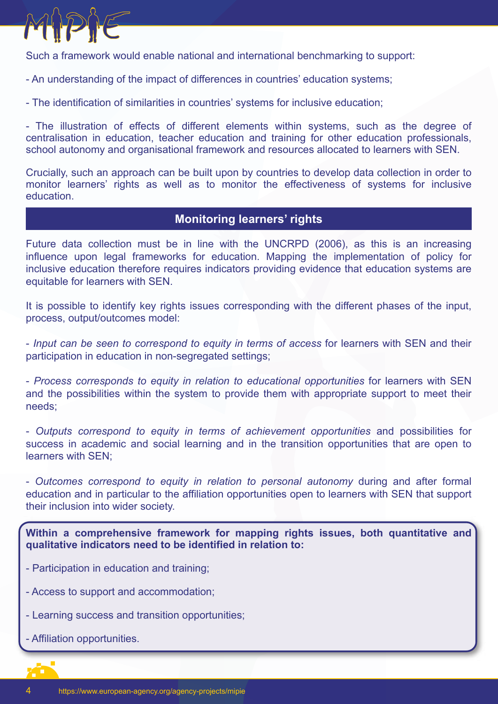

Such a framework would enable national and international benchmarking to support:

- An understanding of the impact of differences in countries' education systems;
- The identification of similarities in countries' systems for inclusive education;

- The illustration of effects of different elements within systems, such as the degree of centralisation in education, teacher education and training for other education professionals, school autonomy and organisational framework and resources allocated to learners with SEN.

Crucially, such an approach can be built upon by countries to develop data collection in order to monitor learners' rights as well as to monitor the effectiveness of systems for inclusive education.

## **Monitoring learners' rights**

Future data collection must be in line with the UNCRPD (2006), as this is an increasing influence upon legal frameworks for education. Mapping the implementation of policy for inclusive education therefore requires indicators providing evidence that education systems are equitable for learners with SEN.

It is possible to identify key rights issues corresponding with the different phases of the input, process, output/outcomes model:

- *Input can be seen to correspond to equity in terms of access* for learners with SEN and their participation in education in non-segregated settings;

- *Process corresponds to equity in relation to educational opportunities* for learners with SEN and the possibilities within the system to provide them with appropriate support to meet their needs;

- *Outputs correspond to equity in terms of achievement opportunities* and possibilities for success in academic and social learning and in the transition opportunities that are open to learners with SEN;

- *Outcomes correspond to equity in relation to personal autonomy* during and after formal education and in particular to the affiliation opportunities open to learners with SEN that support their inclusion into wider society.

**Within a comprehensive framework for mapping rights issues, both quantitative and qualitative indicators need to be identified in relation to:**

- Participation in education and training;
- Access to support and accommodation;
- Learning success and transition opportunities;
- Affiliation opportunities.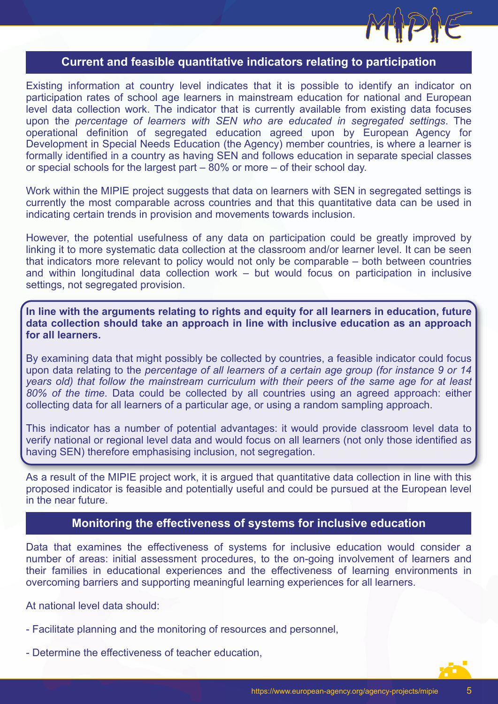

#### **Current and feasible quantitative indicators relating to participation**

Existing information at country level indicates that it is possible to identify an indicator on participation rates of school age learners in mainstream education for national and European level data collection work. The indicator that is currently available from existing data focuses upon the *percentage of learners with SEN who are educated in segregated settings*. The operational definition of segregated education agreed upon by European Agency for Development in Special Needs Education (the Agency) member countries, is where a learner is formally identified in a country as having SEN and follows education in separate special classes or special schools for the largest part – 80% or more – of their school day.

Work within the MIPIE project suggests that data on learners with SEN in segregated settings is currently the most comparable across countries and that this quantitative data can be used in indicating certain trends in provision and movements towards inclusion.

However, the potential usefulness of any data on participation could be greatly improved by linking it to more systematic data collection at the classroom and/or learner level. It can be seen that indicators more relevant to policy would not only be comparable – both between countries and within longitudinal data collection work – but would focus on participation in inclusive settings, not segregated provision.

**In line with the arguments relating to rights and equity for all learners in education, future data collection should take an approach in line with inclusive education as an approach for all learners.**

By examining data that might possibly be collected by countries, a feasible indicator could focus upon data relating to the *percentage of all learners of a certain age group (for instance 9 or 14 years old) that follow the mainstream curriculum with their peers of the same age for at least 80% of the time*. Data could be collected by all countries using an agreed approach: either collecting data for all learners of a particular age, or using a random sampling approach.

This indicator has a number of potential advantages: it would provide classroom level data to verify national or regional level data and would focus on all learners (not only those identified as having SEN) therefore emphasising inclusion, not segregation.

As a result of the MIPIE project work, it is argued that quantitative data collection in line with this proposed indicator is feasible and potentially useful and could be pursued at the European level in the near future.

## **Monitoring the effectiveness of systems for inclusive education**

Data that examines the effectiveness of systems for inclusive education would consider a number of areas: initial assessment procedures, to the on-going involvement of learners and their families in educational experiences and the effectiveness of learning environments in overcoming barriers and supporting meaningful learning experiences for all learners.

At national level data should:

- Facilitate planning and the monitoring of resources and personnel,
- Determine the effectiveness of teacher education,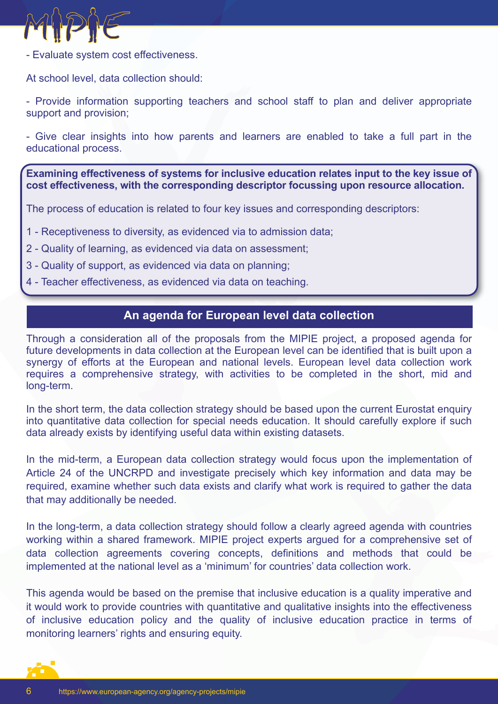

- Evaluate system cost effectiveness.

At school level, data collection should:

- Provide information supporting teachers and school staff to plan and deliver appropriate support and provision;

- Give clear insights into how parents and learners are enabled to take a full part in the educational process.

**Examining effectiveness of systems for inclusive education relates input to the key issue of cost effectiveness, with the corresponding descriptor focussing upon resource allocation.**

The process of education is related to four key issues and corresponding descriptors:

- 1 Receptiveness to diversity, as evidenced via to admission data;
- 2 Quality of learning, as evidenced via data on assessment;
- 3 Quality of support, as evidenced via data on planning;
- 4 Teacher effectiveness, as evidenced via data on teaching.

#### **An agenda for European level data collection**

Through a consideration all of the proposals from the MIPIE project, a proposed agenda for future developments in data collection at the European level can be identified that is built upon a synergy of efforts at the European and national levels. European level data collection work requires a comprehensive strategy, with activities to be completed in the short, mid and long-term.

In the short term, the data collection strategy should be based upon the current Eurostat enquiry into quantitative data collection for special needs education. It should carefully explore if such data already exists by identifying useful data within existing datasets.

In the mid-term, a European data collection strategy would focus upon the implementation of Article 24 of the UNCRPD and investigate precisely which key information and data may be required, examine whether such data exists and clarify what work is required to gather the data that may additionally be needed.

In the long-term, a data collection strategy should follow a clearly agreed agenda with countries working within a shared framework. MIPIE project experts argued for a comprehensive set of data collection agreements covering concepts, definitions and methods that could be implemented at the national level as a 'minimum' for countries' data collection work.

This agenda would be based on the premise that inclusive education is a quality imperative and it would work to provide countries with quantitative and qualitative insights into the effectiveness of inclusive education policy and the quality of inclusive education practice in terms of monitoring learners' rights and ensuring equity.

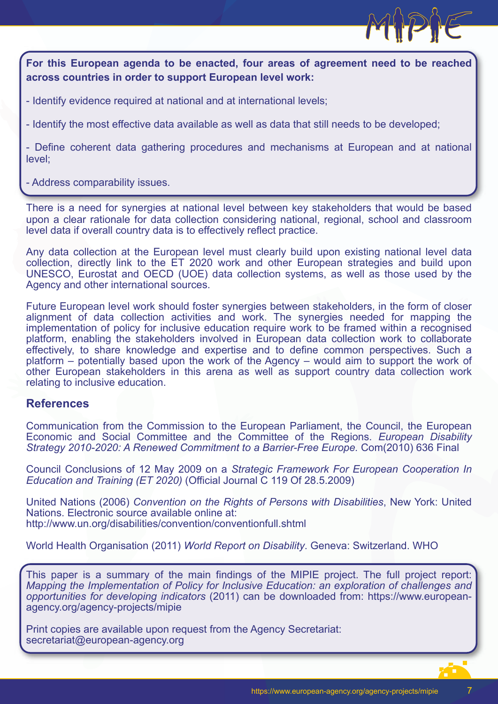

**For this European agenda to be enacted, four areas of agreement need to be reached across countries in order to support European level work:**

- Identify evidence required at national and at international levels;

- Identify the most effective data available as well as data that still needs to be developed;

- Define coherent data gathering procedures and mechanisms at European and at national level;

- Address comparability issues.

There is a need for synergies at national level between key stakeholders that would be based upon a clear rationale for data collection considering national, regional, school and classroom level data if overall country data is to effectively reflect practice.

Any data collection at the European level must clearly build upon existing national level data collection, directly link to the ET 2020 work and other European strategies and build upon UNESCO, Eurostat and OECD (UOE) data collection systems, as well as those used by the Agency and other international sources.

Future European level work should foster synergies between stakeholders, in the form of closer alignment of data collection activities and work. The synergies needed for mapping the implementation of policy for inclusive education require work to be framed within a recognised platform, enabling the stakeholders involved in European data collection work to collaborate effectively, to share knowledge and expertise and to define common perspectives. Such a platform – potentially based upon the work of the Agency – would aim to support the work of other European stakeholders in this arena as well as support country data collection work relating to inclusive education.

#### **References**

Communication from the Commission to the European Parliament, the Council, the European Economic and Social Committee and the Committee of the Regions. *European Disability Strategy 2010-2020: A Renewed Commitment to a Barrier-Free Europe.* Com(2010) 636 Final

Council Conclusions of 12 May 2009 on a *Strategic Framework For European Cooperation In Education and Training (ET 2020)* (Official Journal C 119 Of 28.5.2009)

United Nations (2006) *Convention on the Rights of Persons with Disabilities*, New York: United Nations. Electronic source available online at: http://www.un.org/disabilities/convention/conventionfull.shtml

World Health Organisation (2011) *World Report on Disability*. Geneva: Switzerland. WHO

This paper is a summary of the main findings of the MIPIE project. The full project report: *Mapping the Implementation of Policy for Inclusive Education: an exploration of challenges and opportunities for developing indicators* (2011) can be downloaded from: https://www.europeanagency.org/agency-projects/mipie

Print copies are available upon request from the Agency Secretariat: secretariat@european-agency.org